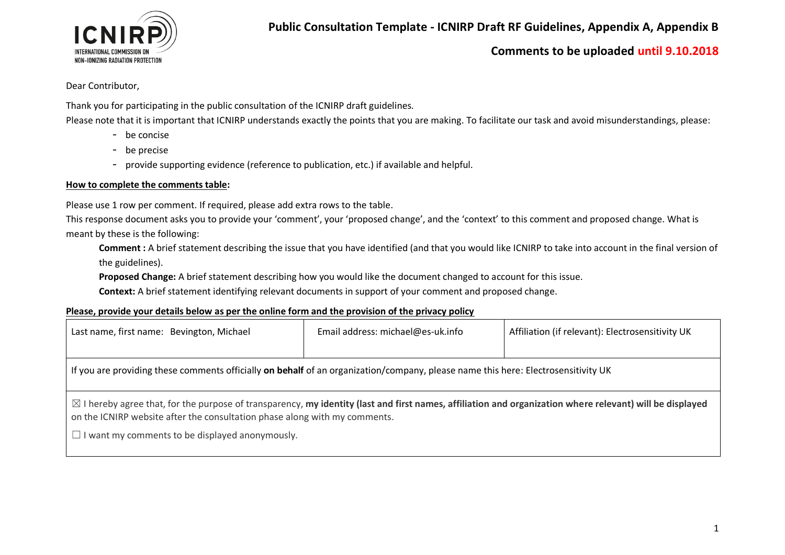

### Dear Contributor,

Thank you for participating in the public consultation of the ICNIRP draft guidelines.

Please note that it is important that ICNIRP understands exactly the points that you are making. To facilitate our task and avoid misunderstandings, please:

- be concise
- be precise
- provide supporting evidence (reference to publication, etc.) if available and helpful.

#### **How to complete the comments table:**

Please use 1 row per comment. If required, please add extra rows to the table.

This response document asks you to provide your 'comment', your 'proposed change', and the 'context' to this comment and proposed change. What is meant by these is the following:

**Comment :** A brief statement describing the issue that you have identified (and that you would like ICNIRP to take into account in the final version of the guidelines).

**Proposed Change:** A brief statement describing how you would like the document changed to account for this issue.

**Context:** A brief statement identifying relevant documents in support of your comment and proposed change.

### **Please, provide your details below as per the online form and the provision of the privacy policy**

| Last name, first name: Bevington, Michael                                                                                                                                                                                                         | Email address: michael@es-uk.info | Affiliation (if relevant): Electrosensitivity UK |  |  |  |  |
|---------------------------------------------------------------------------------------------------------------------------------------------------------------------------------------------------------------------------------------------------|-----------------------------------|--------------------------------------------------|--|--|--|--|
|                                                                                                                                                                                                                                                   |                                   |                                                  |  |  |  |  |
| If you are providing these comments officially on behalf of an organization/company, please name this here: Electrosensitivity UK                                                                                                                 |                                   |                                                  |  |  |  |  |
|                                                                                                                                                                                                                                                   |                                   |                                                  |  |  |  |  |
| $\boxtimes$ I hereby agree that, for the purpose of transparency, my identity (last and first names, affiliation and organization where relevant) will be displayed<br>on the ICNIRP website after the consultation phase along with my comments. |                                   |                                                  |  |  |  |  |
| $\Box$ I want my comments to be displayed anonymously.                                                                                                                                                                                            |                                   |                                                  |  |  |  |  |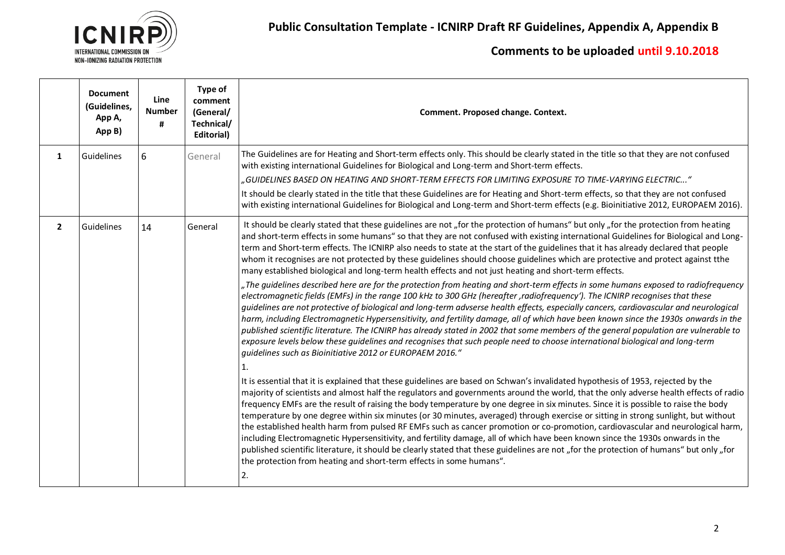

|                | <b>Document</b><br>(Guidelines,<br>App A,<br>App B) | Line<br><b>Number</b><br># | Type of<br>comment<br>(General/<br>Technical/<br>Editorial) | Comment. Proposed change. Context.                                                                                                                                                                                                                                                                                                                                                                                                                                                                                                                                                                                                                                                                                                                                                                                                                                                                                                                                                                                                                                                                                                                                                                                                                                                                                                                                                                                                                                                                                                                                                                                                                                                                                                                                                                                                                                                                                                                                                                                                                                                                                                                                                                                                                                                                                                                                                                                                                                                                                                                                                                                  |
|----------------|-----------------------------------------------------|----------------------------|-------------------------------------------------------------|---------------------------------------------------------------------------------------------------------------------------------------------------------------------------------------------------------------------------------------------------------------------------------------------------------------------------------------------------------------------------------------------------------------------------------------------------------------------------------------------------------------------------------------------------------------------------------------------------------------------------------------------------------------------------------------------------------------------------------------------------------------------------------------------------------------------------------------------------------------------------------------------------------------------------------------------------------------------------------------------------------------------------------------------------------------------------------------------------------------------------------------------------------------------------------------------------------------------------------------------------------------------------------------------------------------------------------------------------------------------------------------------------------------------------------------------------------------------------------------------------------------------------------------------------------------------------------------------------------------------------------------------------------------------------------------------------------------------------------------------------------------------------------------------------------------------------------------------------------------------------------------------------------------------------------------------------------------------------------------------------------------------------------------------------------------------------------------------------------------------------------------------------------------------------------------------------------------------------------------------------------------------------------------------------------------------------------------------------------------------------------------------------------------------------------------------------------------------------------------------------------------------------------------------------------------------------------------------------------------------|
| 1              | Guidelines                                          | 6                          | General                                                     | The Guidelines are for Heating and Short-term effects only. This should be clearly stated in the title so that they are not confused<br>with existing international Guidelines for Biological and Long-term and Short-term effects.<br>"GUIDELINES BASED ON HEATING AND SHORT-TERM EFFECTS FOR LIMITING EXPOSURE TO TIME-VARYING ELECTRIC…,<br>It should be clearly stated in the title that these Guidelines are for Heating and Short-term effects, so that they are not confused<br>with existing international Guidelines for Biological and Long-term and Short-term effects (e.g. Bioinitiative 2012, EUROPAEM 2016).                                                                                                                                                                                                                                                                                                                                                                                                                                                                                                                                                                                                                                                                                                                                                                                                                                                                                                                                                                                                                                                                                                                                                                                                                                                                                                                                                                                                                                                                                                                                                                                                                                                                                                                                                                                                                                                                                                                                                                                         |
| $\overline{2}$ | Guidelines                                          | 14                         | General                                                     | It should be clearly stated that these guidelines are not "for the protection of humans" but only "for the protection from heating<br>and short-term effects in some humans" so that they are not confused with existing international Guidelines for Biological and Long-<br>term and Short-term effects. The ICNIRP also needs to state at the start of the guidelines that it has already declared that people<br>whom it recognises are not protected by these guidelines should choose guidelines which are protective and protect against tthe<br>many established biological and long-term health effects and not just heating and short-term effects.<br>"The guidelines described here are for the protection from heating and short-term effects in some humans exposed to radiofrequency<br>electromagnetic fields (EMFs) in the range 100 kHz to 300 GHz (hereafter, radiofrequency'). The ICNIRP recognises that these<br>quidelines are not protective of biological and long-term advserse health effects, especially cancers, cardiovascular and neurological<br>harm, including Electromagnetic Hypersensitivity, and fertility damage, all of which have been known since the 1930s onwards in the<br>published scientific literature. The ICNIRP has already stated in 2002 that some members of the general population are vulnerable to<br>exposure levels below these guidelines and recognises that such people need to choose international biological and long-term<br>quidelines such as Bioinitiative 2012 or EUROPAEM 2016."<br>1.<br>It is essential that it is explained that these guidelines are based on Schwan's invalidated hypothesis of 1953, rejected by the<br>majority of scientists and almost half the regulators and governments around the world, that the only adverse health effects of radio<br>frequency EMFs are the result of raising the body temperature by one degree in six minutes. Since it is possible to raise the body<br>temperature by one degree within six minutes (or 30 minutes, averaged) through exercise or sitting in strong sunlight, but without<br>the established health harm from pulsed RF EMFs such as cancer promotion or co-promotion, cardiovascular and neurological harm,<br>including Electromagnetic Hypersensitivity, and fertility damage, all of which have been known since the 1930s onwards in the<br>published scientific literature, it should be clearly stated that these guidelines are not "for the protection of humans" but only "for<br>the protection from heating and short-term effects in some humans".<br>2. |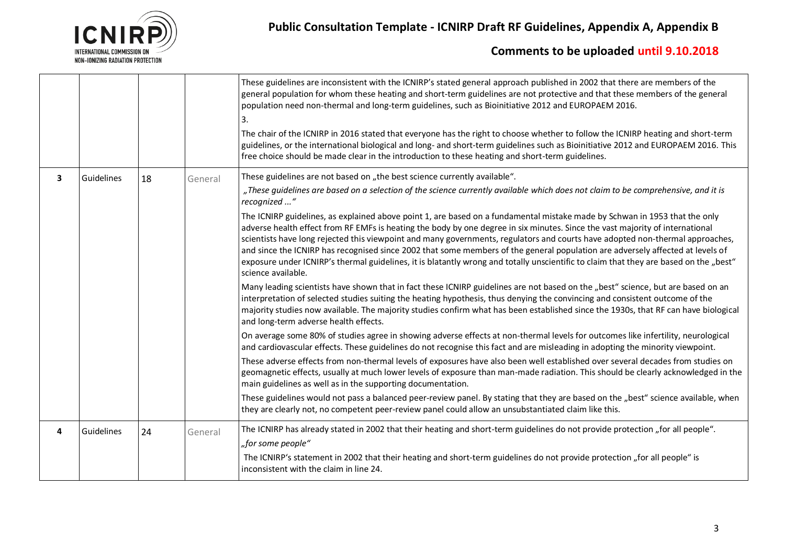

|                         |            |    |         | These guidelines are inconsistent with the ICNIRP's stated general approach published in 2002 that there are members of the<br>general population for whom these heating and short-term guidelines are not protective and that these members of the general<br>population need non-thermal and long-term guidelines, such as Bioinitiative 2012 and EUROPAEM 2016.<br>3.<br>The chair of the ICNIRP in 2016 stated that everyone has the right to choose whether to follow the ICNIRP heating and short-term<br>guidelines, or the international biological and long- and short-term guidelines such as Bioinitiative 2012 and EUROPAEM 2016. This<br>free choice should be made clear in the introduction to these heating and short-term guidelines. |
|-------------------------|------------|----|---------|--------------------------------------------------------------------------------------------------------------------------------------------------------------------------------------------------------------------------------------------------------------------------------------------------------------------------------------------------------------------------------------------------------------------------------------------------------------------------------------------------------------------------------------------------------------------------------------------------------------------------------------------------------------------------------------------------------------------------------------------------------|
| $\overline{\mathbf{3}}$ | Guidelines | 18 | General | These guidelines are not based on "the best science currently available".                                                                                                                                                                                                                                                                                                                                                                                                                                                                                                                                                                                                                                                                              |
|                         |            |    |         | "These guidelines are based on a selection of the science currently available which does not claim to be comprehensive, and it is<br>recognized "                                                                                                                                                                                                                                                                                                                                                                                                                                                                                                                                                                                                      |
|                         |            |    |         | The ICNIRP guidelines, as explained above point 1, are based on a fundamental mistake made by Schwan in 1953 that the only<br>adverse health effect from RF EMFs is heating the body by one degree in six minutes. Since the vast majority of international<br>scientists have long rejected this viewpoint and many governments, regulators and courts have adopted non-thermal approaches,<br>and since the ICNIRP has recognised since 2002 that some members of the general population are adversely affected at levels of<br>exposure under ICNIRP's thermal guidelines, it is blatantly wrong and totally unscientific to claim that they are based on the "best"<br>science available.                                                          |
|                         |            |    |         | Many leading scientists have shown that in fact these ICNIRP guidelines are not based on the "best" science, but are based on an<br>interpretation of selected studies suiting the heating hypothesis, thus denying the convincing and consistent outcome of the<br>majority studies now available. The majority studies confirm what has been established since the 1930s, that RF can have biological<br>and long-term adverse health effects.                                                                                                                                                                                                                                                                                                       |
|                         |            |    |         | On average some 80% of studies agree in showing adverse effects at non-thermal levels for outcomes like infertility, neurological<br>and cardiovascular effects. These guidelines do not recognise this fact and are misleading in adopting the minority viewpoint.                                                                                                                                                                                                                                                                                                                                                                                                                                                                                    |
|                         |            |    |         | These adverse effects from non-thermal levels of exposures have also been well established over several decades from studies on<br>geomagnetic effects, usually at much lower levels of exposure than man-made radiation. This should be clearly acknowledged in the<br>main guidelines as well as in the supporting documentation.                                                                                                                                                                                                                                                                                                                                                                                                                    |
|                         |            |    |         | These guidelines would not pass a balanced peer-review panel. By stating that they are based on the "best" science available, when<br>they are clearly not, no competent peer-review panel could allow an unsubstantiated claim like this.                                                                                                                                                                                                                                                                                                                                                                                                                                                                                                             |
| 4                       | Guidelines | 24 | General | The ICNIRP has already stated in 2002 that their heating and short-term guidelines do not provide protection "for all people".<br>"for some people"                                                                                                                                                                                                                                                                                                                                                                                                                                                                                                                                                                                                    |
|                         |            |    |         | The ICNIRP's statement in 2002 that their heating and short-term guidelines do not provide protection "for all people" is<br>inconsistent with the claim in line 24.                                                                                                                                                                                                                                                                                                                                                                                                                                                                                                                                                                                   |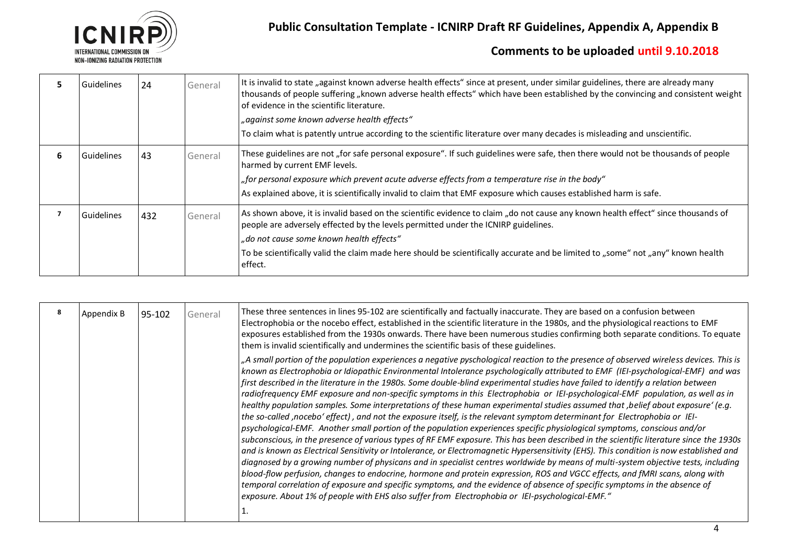

|   | Guidelines        | 24  | General | It is invalid to state "against known adverse health effects" since at present, under similar guidelines, there are already many<br>thousands of people suffering "known adverse health effects" which have been established by the convincing and consistent weight<br>of evidence in the scientific literature.<br>"against some known adverse health effects"<br>To claim what is patently untrue according to the scientific literature over many decades is misleading and unscientific. |
|---|-------------------|-----|---------|-----------------------------------------------------------------------------------------------------------------------------------------------------------------------------------------------------------------------------------------------------------------------------------------------------------------------------------------------------------------------------------------------------------------------------------------------------------------------------------------------|
| 6 | Guidelines        | 43  | General | These guidelines are not "for safe personal exposure". If such guidelines were safe, then there would not be thousands of people<br>harmed by current EMF levels.<br>"for personal exposure which prevent acute adverse effects from a temperature rise in the body"<br>As explained above, it is scientifically invalid to claim that EMF exposure which causes established harm is safe.                                                                                                    |
|   | <b>Guidelines</b> | 432 | General | As shown above, it is invalid based on the scientific evidence to claim "do not cause any known health effect" since thousands of<br>people are adversely effected by the levels permitted under the ICNIRP guidelines.<br>"do not cause some known health effects"<br>To be scientifically valid the claim made here should be scientifically accurate and be limited to "some" not "any" known health<br>effect.                                                                            |

| Appendix B | 95-102 | General | These three sentences in lines 95-102 are scientifically and factually inaccurate. They are based on a confusion between<br>Electrophobia or the nocebo effect, established in the scientific literature in the 1980s, and the physiological reactions to EMF<br>exposures established from the 1930s onwards. There have been numerous studies confirming both separate conditions. To equate<br>them is invalid scientifically and undermines the scientific basis of these guidelines.                                                                                                                                                                                                                                                                                                                                                                                                                                                                                                                                                                                                                                                                                                                                                                                                                                                                                                                                                                                                                                                                                                                                                                                                                                                        |
|------------|--------|---------|--------------------------------------------------------------------------------------------------------------------------------------------------------------------------------------------------------------------------------------------------------------------------------------------------------------------------------------------------------------------------------------------------------------------------------------------------------------------------------------------------------------------------------------------------------------------------------------------------------------------------------------------------------------------------------------------------------------------------------------------------------------------------------------------------------------------------------------------------------------------------------------------------------------------------------------------------------------------------------------------------------------------------------------------------------------------------------------------------------------------------------------------------------------------------------------------------------------------------------------------------------------------------------------------------------------------------------------------------------------------------------------------------------------------------------------------------------------------------------------------------------------------------------------------------------------------------------------------------------------------------------------------------------------------------------------------------------------------------------------------------|
|            |        |         | "A small portion of the population experiences a negative pyschological reaction to the presence of observed wireless devices. This is<br>known as Electrophobia or Idiopathic Environmental Intolerance psychologically attributed to EMF (IEI-psychological-EMF) and was<br>first described in the literature in the 1980s. Some double-blind experimental studies have failed to identify a relation between<br>radiofrequency EMF exposure and non-specific symptoms in this Electrophobia or IEI-psychological-EMF population, as well as in<br>healthy population samples. Some interpretations of these human experimental studies assumed that , belief about exposure' (e.g.<br>the so-called ,nocebo' effect), and not the exposure itself, is the relevant symptom determinant for Electrophobia or IEI-<br>$ $ psychological-EMF. Another small portion of the population experiences specific physiological symptoms, conscious and/or<br>subconscious, in the presence of various types of RF EMF exposure. This has been described in the scientific literature since the 1930s<br>and is known as Electrical Sensitivity or Intolerance, or Electromagnetic Hypersensitivity (EHS). This condition is now established and<br>diagnosed by a growing number of physicans and in specialist centres worldwide by means of multi-system objective tests, including<br>blood-flow perfusion, changes to endocrine, hormone and protein expression, ROS and VGCC effects, and fMRI scans, along with<br>temporal correlation of exposure and specific symptoms, and the evidence of absence of specific symptoms in the absence of<br>exposure. About 1% of people with EHS also suffer from Electrophobia or IEI-psychological-EMF." |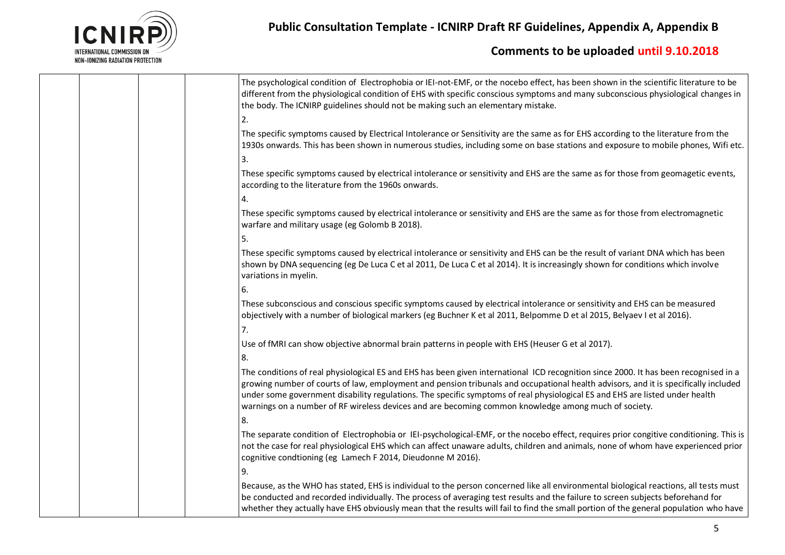

# **Public Consultation Template - ICNIRP Draft RF Guidelines, Appendix A, Appendix B**

| The psychological condition of Electrophobia or IEI-not-EMF, or the nocebo effect, has been shown in the scientific literature to be<br>different from the physiological condition of EHS with specific conscious symptoms and many subconscious physiological changes in<br>the body. The ICNIRP guidelines should not be making such an elementary mistake.                                                                                                                                                       |
|---------------------------------------------------------------------------------------------------------------------------------------------------------------------------------------------------------------------------------------------------------------------------------------------------------------------------------------------------------------------------------------------------------------------------------------------------------------------------------------------------------------------|
| 2.                                                                                                                                                                                                                                                                                                                                                                                                                                                                                                                  |
| The specific symptoms caused by Electrical Intolerance or Sensitivity are the same as for EHS according to the literature from the<br>1930s onwards. This has been shown in numerous studies, including some on base stations and exposure to mobile phones, Wifi etc.                                                                                                                                                                                                                                              |
| 3.                                                                                                                                                                                                                                                                                                                                                                                                                                                                                                                  |
| These specific symptoms caused by electrical intolerance or sensitivity and EHS are the same as for those from geomagetic events,<br>according to the literature from the 1960s onwards.                                                                                                                                                                                                                                                                                                                            |
| 4.                                                                                                                                                                                                                                                                                                                                                                                                                                                                                                                  |
| These specific symptoms caused by electrical intolerance or sensitivity and EHS are the same as for those from electromagnetic<br>warfare and military usage (eg Golomb B 2018).                                                                                                                                                                                                                                                                                                                                    |
| 5.                                                                                                                                                                                                                                                                                                                                                                                                                                                                                                                  |
| These specific symptoms caused by electrical intolerance or sensitivity and EHS can be the result of variant DNA which has been<br>shown by DNA sequencing (eg De Luca C et al 2011, De Luca C et al 2014). It is increasingly shown for conditions which involve<br>variations in myelin.                                                                                                                                                                                                                          |
| 6.                                                                                                                                                                                                                                                                                                                                                                                                                                                                                                                  |
| These subconscious and conscious specific symptoms caused by electrical intolerance or sensitivity and EHS can be measured<br>objectively with a number of biological markers (eg Buchner K et al 2011, Belpomme D et al 2015, Belyaev I et al 2016).                                                                                                                                                                                                                                                               |
|                                                                                                                                                                                                                                                                                                                                                                                                                                                                                                                     |
| Use of fMRI can show objective abnormal brain patterns in people with EHS (Heuser G et al 2017).                                                                                                                                                                                                                                                                                                                                                                                                                    |
| 8.                                                                                                                                                                                                                                                                                                                                                                                                                                                                                                                  |
| The conditions of real physiological ES and EHS has been given international ICD recognition since 2000. It has been recognised in a<br>growing number of courts of law, employment and pension tribunals and occupational health advisors, and it is specifically included<br>under some government disability regulations. The specific symptoms of real physiological ES and EHS are listed under health<br>warnings on a number of RF wireless devices and are becoming common knowledge among much of society. |
| 8.                                                                                                                                                                                                                                                                                                                                                                                                                                                                                                                  |
| The separate condition of Electrophobia or IEI-psychological-EMF, or the nocebo effect, requires prior congitive conditioning. This is<br>not the case for real physiological EHS which can affect unaware adults, children and animals, none of whom have experienced prior<br>cognitive condtioning (eg Lamech F 2014, Dieudonne M 2016).                                                                                                                                                                         |
| 9.                                                                                                                                                                                                                                                                                                                                                                                                                                                                                                                  |
| Because, as the WHO has stated, EHS is individual to the person concerned like all environmental biological reactions, all tests must<br>be conducted and recorded individually. The process of averaging test results and the failure to screen subjects beforehand for<br>whether they actually have EHS obviously mean that the results will fail to find the small portion of the general population who have                                                                                                   |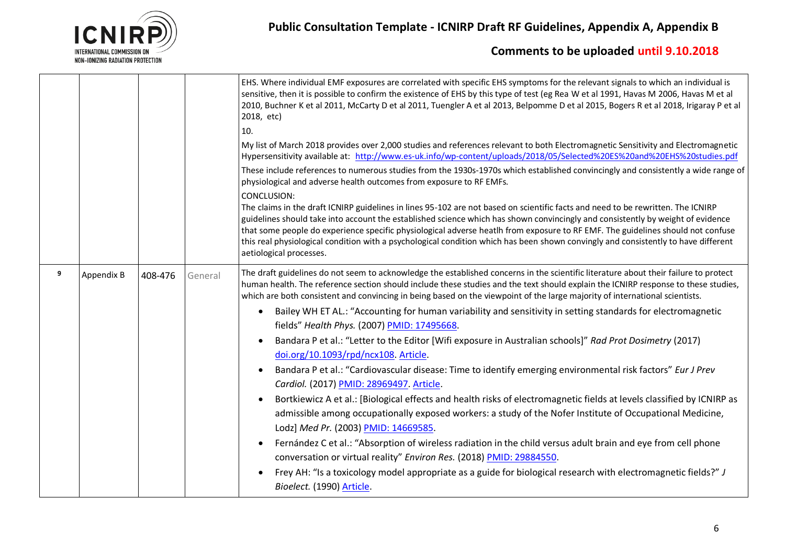

|   |            |         |         | EHS. Where individual EMF exposures are correlated with specific EHS symptoms for the relevant signals to which an individual is<br>sensitive, then it is possible to confirm the existence of EHS by this type of test (eg Rea W et al 1991, Havas M 2006, Havas M et al<br>2010, Buchner K et al 2011, McCarty D et al 2011, Tuengler A et al 2013, Belpomme D et al 2015, Bogers R et al 2018, Irigaray P et al<br>2018, etc)<br>10.                                                                                                                                                |
|---|------------|---------|---------|----------------------------------------------------------------------------------------------------------------------------------------------------------------------------------------------------------------------------------------------------------------------------------------------------------------------------------------------------------------------------------------------------------------------------------------------------------------------------------------------------------------------------------------------------------------------------------------|
|   |            |         |         | My list of March 2018 provides over 2,000 studies and references relevant to both Electromagnetic Sensitivity and Electromagnetic<br>Hypersensitivity available at: http://www.es-uk.info/wp-content/uploads/2018/05/Selected%20E5%20and%20EHS%20studies.pdf                                                                                                                                                                                                                                                                                                                           |
|   |            |         |         | These include references to numerous studies from the 1930s-1970s which established convincingly and consistently a wide range of<br>physiological and adverse health outcomes from exposure to RF EMFs.                                                                                                                                                                                                                                                                                                                                                                               |
|   |            |         |         | CONCLUSION:<br>The claims in the draft ICNIRP guidelines in lines 95-102 are not based on scientific facts and need to be rewritten. The ICNIRP<br>guidelines should take into account the established science which has shown convincingly and consistently by weight of evidence<br>that some people do experience specific physiological adverse heatlh from exposure to RF EMF. The guidelines should not confuse<br>this real physiological condition with a psychological condition which has been shown convingly and consistently to have different<br>aetiological processes. |
| 9 | Appendix B | 408-476 | General | The draft guidelines do not seem to acknowledge the established concerns in the scientific literature about their failure to protect<br>human health. The reference section should include these studies and the text should explain the ICNIRP response to these studies,<br>which are both consistent and convincing in being based on the viewpoint of the large majority of international scientists.                                                                                                                                                                              |
|   |            |         |         | Bailey WH ET AL.: "Accounting for human variability and sensitivity in setting standards for electromagnetic                                                                                                                                                                                                                                                                                                                                                                                                                                                                           |
|   |            |         |         | fields" Health Phys. (2007) PMID: 17495668.                                                                                                                                                                                                                                                                                                                                                                                                                                                                                                                                            |
|   |            |         |         | Bandara P et al.: "Letter to the Editor [Wifi exposure in Australian schools]" Rad Prot Dosimetry (2017)                                                                                                                                                                                                                                                                                                                                                                                                                                                                               |
|   |            |         |         | doi.org/10.1093/rpd/ncx108. Article.                                                                                                                                                                                                                                                                                                                                                                                                                                                                                                                                                   |
|   |            |         |         | Bandara P et al.: "Cardiovascular disease: Time to identify emerging environmental risk factors" Eur J Prev                                                                                                                                                                                                                                                                                                                                                                                                                                                                            |
|   |            |         |         | Cardiol. (2017) PMID: 28969497. Article.                                                                                                                                                                                                                                                                                                                                                                                                                                                                                                                                               |
|   |            |         |         | Bortkiewicz A et al.: [Biological effects and health risks of electromagnetic fields at levels classified by ICNIRP as                                                                                                                                                                                                                                                                                                                                                                                                                                                                 |
|   |            |         |         | admissible among occupationally exposed workers: a study of the Nofer Institute of Occupational Medicine,                                                                                                                                                                                                                                                                                                                                                                                                                                                                              |
|   |            |         |         | Lodz] Med Pr. (2003) PMID: 14669585.                                                                                                                                                                                                                                                                                                                                                                                                                                                                                                                                                   |
|   |            |         |         | Fernández C et al.: "Absorption of wireless radiation in the child versus adult brain and eye from cell phone<br>conversation or virtual reality" Environ Res. (2018) PMID: 29884550.                                                                                                                                                                                                                                                                                                                                                                                                  |
|   |            |         |         | Frey AH: "Is a toxicology model appropriate as a guide for biological research with electromagnetic fields?" J<br>Bioelect. (1990) Article.                                                                                                                                                                                                                                                                                                                                                                                                                                            |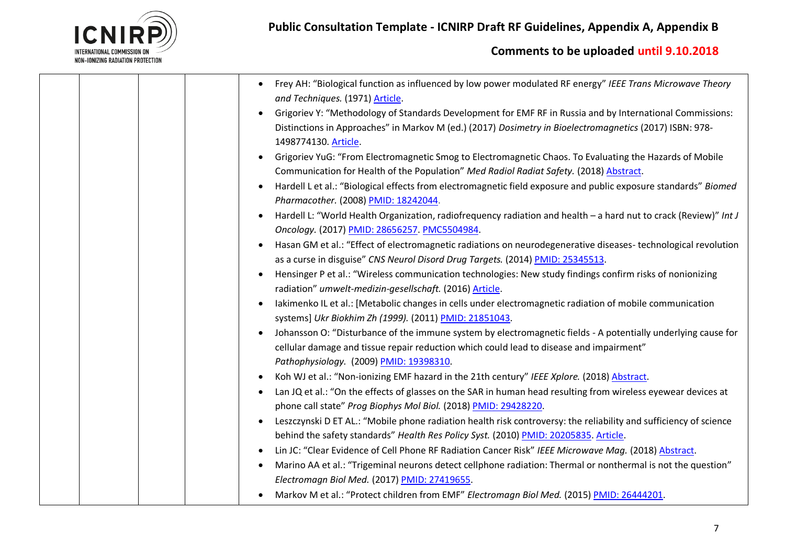

| Frey AH: "Biological function as influenced by low power modulated RF energy" IEEE Trans Microwave Theory<br>and Techniques. (1971) Article.                                                                                                 |
|----------------------------------------------------------------------------------------------------------------------------------------------------------------------------------------------------------------------------------------------|
| Grigoriev Y: "Methodology of Standards Development for EMF RF in Russia and by International Commissions:<br>Distinctions in Approaches" in Markov M (ed.) (2017) Dosimetry in Bioelectromagnetics (2017) ISBN: 978-<br>1498774130. Article. |
| Grigoriev YuG: "From Electromagnetic Smog to Electromagnetic Chaos. To Evaluating the Hazards of Mobile<br>Communication for Health of the Population" Med Radiol Radiat Safety. (2018) Abstract.                                            |
| Hardell L et al.: "Biological effects from electromagnetic field exposure and public exposure standards" Biomed<br>Pharmacother. (2008) PMID: 18242044.                                                                                      |
| Hardell L: "World Health Organization, radiofrequency radiation and health - a hard nut to crack (Review)" Int J<br>Oncology. (2017) PMID: 28656257. PMC5504984.                                                                             |
| Hasan GM et al.: "Effect of electromagnetic radiations on neurodegenerative diseases- technological revolution<br>as a curse in disguise" CNS Neurol Disord Drug Targets. (2014) PMID: 25345513.                                             |
| Hensinger P et al.: "Wireless communication technologies: New study findings confirm risks of nonionizing<br>radiation" umwelt-medizin-gesellschaft. (2016) Article.                                                                         |
| Iakimenko IL et al.: [Metabolic changes in cells under electromagnetic radiation of mobile communication<br>systems] Ukr Biokhim Zh (1999). (2011) PMID: 21851043.                                                                           |
| Johansson O: "Disturbance of the immune system by electromagnetic fields - A potentially underlying cause for<br>cellular damage and tissue repair reduction which could lead to disease and impairment"                                     |
| Pathophysiology. (2009) PMID: 19398310.                                                                                                                                                                                                      |
| Koh WJ et al.: "Non-ionizing EMF hazard in the 21th century" IEEE Xplore. (2018) Abstract.<br>Lan JQ et al.: "On the effects of glasses on the SAR in human head resulting from wireless eyewear devices at<br>$\bullet$                     |
| phone call state" Prog Biophys Mol Biol. (2018) PMID: 29428220.                                                                                                                                                                              |
| Leszczynski D ET AL.: "Mobile phone radiation health risk controversy: the reliability and sufficiency of science                                                                                                                            |
| behind the safety standards" Health Res Policy Syst. (2010) PMID: 20205835. Article.                                                                                                                                                         |
| Lin JC: "Clear Evidence of Cell Phone RF Radiation Cancer Risk" IEEE Microwave Mag. (2018) Abstract.<br>$\bullet$                                                                                                                            |
| Marino AA et al.: "Trigeminal neurons detect cellphone radiation: Thermal or nonthermal is not the question"                                                                                                                                 |
| Electromagn Biol Med. (2017) PMID: 27419655.                                                                                                                                                                                                 |
| Markov M et al.: "Protect children from EMF" Electromagn Biol Med. (2015) PMID: 26444201.                                                                                                                                                    |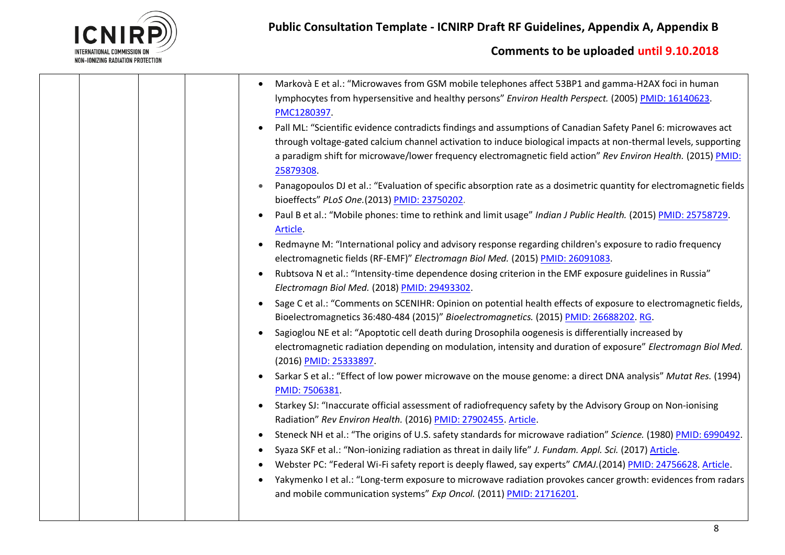

|  | Markovà E et al.: "Microwaves from GSM mobile telephones affect 53BP1 and gamma-H2AX foci in human                                                                                         |
|--|--------------------------------------------------------------------------------------------------------------------------------------------------------------------------------------------|
|  | lymphocytes from hypersensitive and healthy persons" Environ Health Perspect. (2005) PMID: 16140623.<br>PMC1280397                                                                         |
|  | Pall ML: "Scientific evidence contradicts findings and assumptions of Canadian Safety Panel 6: microwaves act                                                                              |
|  | through voltage-gated calcium channel activation to induce biological impacts at non-thermal levels, supporting                                                                            |
|  | a paradigm shift for microwave/lower frequency electromagnetic field action" Rev Environ Health. (2015) PMID:<br>25879308.                                                                 |
|  | Panagopoulos DJ et al.: "Evaluation of specific absorption rate as a dosimetric quantity for electromagnetic fields<br>bioeffects" PLoS One. (2013) PMID: 23750202.                        |
|  | Paul B et al.: "Mobile phones: time to rethink and limit usage" Indian J Public Health. (2015) PMID: 25758729.<br>Article.                                                                 |
|  | Redmayne M: "International policy and advisory response regarding children's exposure to radio frequency<br>electromagnetic fields (RF-EMF)" Electromagn Biol Med. (2015) PMID: 26091083.  |
|  | Rubtsova N et al.: "Intensity-time dependence dosing criterion in the EMF exposure guidelines in Russia"<br>$\bullet$<br>Electromagn Biol Med. (2018) PMID: 29493302.                      |
|  | Sage C et al.: "Comments on SCENIHR: Opinion on potential health effects of exposure to electromagnetic fields,                                                                            |
|  | Bioelectromagnetics 36:480-484 (2015)" Bioelectromagnetics. (2015) PMID: 26688202. RG.                                                                                                     |
|  | Sagioglou NE et al: "Apoptotic cell death during Drosophila oogenesis is differentially increased by                                                                                       |
|  | electromagnetic radiation depending on modulation, intensity and duration of exposure" Electromagn Biol Med.<br>(2016) PMID: 25333897.                                                     |
|  | Sarkar S et al.: "Effect of low power microwave on the mouse genome: a direct DNA analysis" Mutat Res. (1994)<br>PMID: 7506381.                                                            |
|  | Starkey SJ: "Inaccurate official assessment of radiofrequency safety by the Advisory Group on Non-ionising<br>Radiation" Rev Environ Health. (2016) PMID: 27902455. Article.               |
|  | Steneck NH et al.: "The origins of U.S. safety standards for microwave radiation" Science. (1980) PMID: 6990492.<br>$\bullet$                                                              |
|  | Syaza SKF et al.: "Non-ionizing radiation as threat in daily life" J. Fundam. Appl. Sci. (2017) Article.<br>٠                                                                              |
|  | Webster PC: "Federal Wi-Fi safety report is deeply flawed, say experts" CMAJ.(2014) PMID: 24756628. Article.                                                                               |
|  | Yakymenko I et al.: "Long-term exposure to microwave radiation provokes cancer growth: evidences from radars  <br>٠<br>and mobile communication systems" Exp Oncol. (2011) PMID: 21716201. |
|  |                                                                                                                                                                                            |